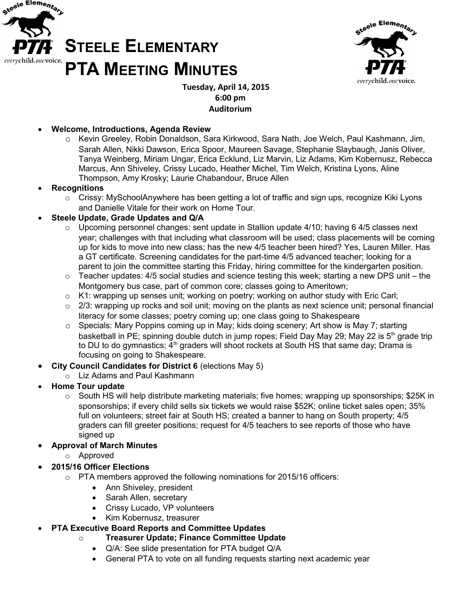



**Tuesday, April 14, 2015 6:00 pm Auditorium**

#### **Welcome, Introductions, Agenda Review**

o Kevin Greeley, Robin Donaldson, Sara Kirkwood, Sara Nath, Joe Welch, Paul Kashmann, Jim, Sarah Allen, Nikki Dawson, Erica Spoor, Maureen Savage, Stephanie Slaybaugh, Janis Oliver, Tanya Weinberg, Miriam Ungar, Erica Ecklund, Liz Marvin, Liz Adams, Kim Kobernusz, Rebecca Marcus, Ann Shiveley, Crissy Lucado, Heather Michel, Tim Welch, Kristina Lyons, Aline Thompson, Amy Krosky; Laurie Chabandour, Bruce Allen

#### **Recognitions**

o Crissy: MySchoolAnywhere has been getting a lot of traffic and sign ups, recognize Kiki Lyons and Danielle Vitale for their work on Home Tour.

# **Steele Update, Grade Updates and Q/A**

- o Upcoming personnel changes: sent update in Stallion update 4/10; having 6 4/5 classes next year; challenges with that including what classroom will be used; class placements will be coming up for kids to move into new class; has the new 4/5 teacher been hired? Yes, Lauren Miller. Has a GT certificate. Screening candidates for the part-time 4/5 advanced teacher; looking for a parent to join the committee starting this Friday, hiring committee for the kindergarten position.
- $\circ$  Teacher updates: 4/5 social studies and science testing this week; starting a new DPS unit the Montgomery bus case, part of common core; classes going to Ameritown;
- $\circ$  K1: wrapping up senses unit; working on poetry; working on author study with Eric Carl;
- $\circ$  2/3: wrapping up rocks and soil unit; moving on the plants as next science unit; personal financial literacy for some classes; poetry coming up; one class going to Shakespeare
- o Specials: Mary Poppins coming up in May; kids doing scenery; Art show is May 7; starting basketball in PE; spinning double dutch in jump ropes; Field Day May 29; May 22 is  $5<sup>th</sup>$  grade trip to DU to do gymnastics;  $4<sup>th</sup>$  graders will shoot rockets at South HS that same day; Drama is focusing on going to Shakespeare.

# **City Council Candidates for District 6** (elections May 5)

- o Liz Adams and Paul Kashmann
- **Home Tour update** 
	- $\circ$  South HS will help distribute marketing materials; five homes; wrapping up sponsorships; \$25K in sponsorships; if every child sells six tickets we would raise \$52K; online ticket sales open; 35% full on volunteers; street fair at South HS; created a banner to hang on South property; 4/5 graders can fill greeter positions; request for 4/5 teachers to see reports of those who have signed up

# **Approval of March Minutes**

o Approved

# **2015/16 Officer Elections**

- o PTA members approved the following nominations for 2015/16 officers:
	- Ann Shiveley, president
	- Sarah Allen, secretary
	- Crissy Lucado, VP volunteers
	- Kim Kobernusz, treasurer

# **PTA Executive Board Reports and Committee Updates**

- o **Treasurer Update; Finance Committee Update** 
	- Q/A: See slide presentation for PTA budget Q/A
	- General PTA to vote on all funding requests starting next academic year